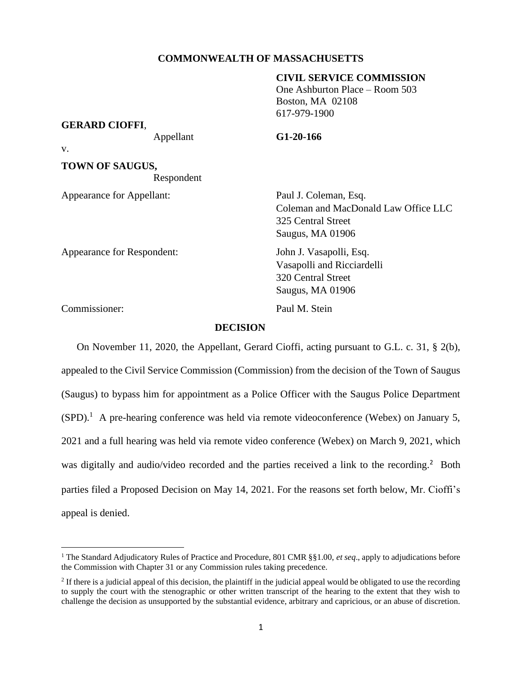## **COMMONWEALTH OF MASSACHUSETTS**

## **CIVIL SERVICE COMMISSION**

One Ashburton Place – Room 503 Boston, MA 02108 617-979-1900

## **GERARD CIOFFI**,

Appellant **G1-20-166**

v.

**TOWN OF SAUGUS,** Respondent

Appearance for Appellant: Paul J. Coleman, Esq.

Coleman and MacDonald Law Office LLC 325 Central Street Saugus, MA 01906

Vasapolli and Ricciardelli

320 Central Street Saugus, MA 01906

Appearance for Respondent: John J. Vasapolli, Esq.

Commissioner: Paul M. Stein

**DECISION**

On November 11, 2020, the Appellant, Gerard Cioffi, acting pursuant to G.L. c. 31, § 2(b), appealed to the Civil Service Commission (Commission) from the decision of the Town of Saugus (Saugus) to bypass him for appointment as a Police Officer with the Saugus Police Department  $(SPD)$ .<sup>1</sup> A pre-hearing conference was held via remote videoconference (Webex) on January 5, 2021 and a full hearing was held via remote video conference (Webex) on March 9, 2021, which was digitally and audio/video recorded and the parties received a link to the recording.<sup>2</sup> Both parties filed a Proposed Decision on May 14, 2021. For the reasons set forth below, Mr. Cioffi's appeal is denied.

<sup>1</sup> The Standard Adjudicatory Rules of Practice and Procedure, 801 CMR §§1.00, *et seq*., apply to adjudications before the Commission with Chapter 31 or any Commission rules taking precedence.

 $2$  If there is a judicial appeal of this decision, the plaintiff in the judicial appeal would be obligated to use the recording to supply the court with the stenographic or other written transcript of the hearing to the extent that they wish to challenge the decision as unsupported by the substantial evidence, arbitrary and capricious, or an abuse of discretion.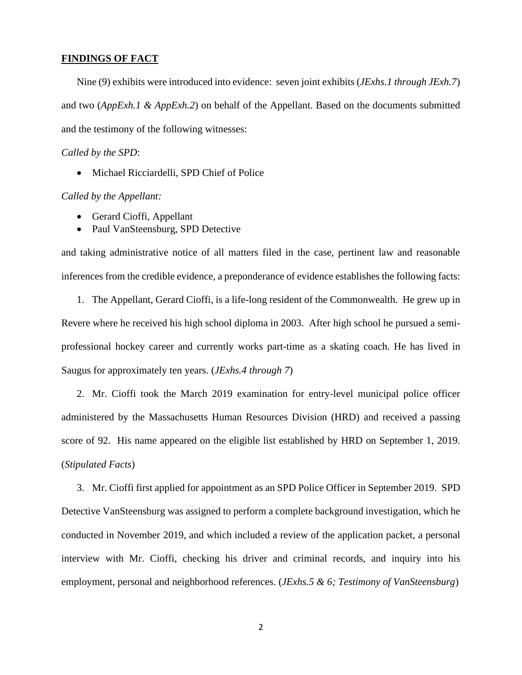## **FINDINGS OF FACT**

Nine (9) exhibits were introduced into evidence: seven joint exhibits (*JExhs.1 through JExh.7*) and two (*AppExh.1 & AppExh.2*) on behalf of the Appellant. Based on the documents submitted and the testimony of the following witnesses:

#### *Called by the SPD*:

• Michael Ricciardelli, SPD Chief of Police

## *Called by the Appellant:*

- Gerard Cioffi, Appellant
- Paul VanSteensburg, SPD Detective

and taking administrative notice of all matters filed in the case, pertinent law and reasonable inferences from the credible evidence, a preponderance of evidence establishes the following facts:

1. The Appellant, Gerard Cioffi, is a life-long resident of the Commonwealth. He grew up in Revere where he received his high school diploma in 2003. After high school he pursued a semiprofessional hockey career and currently works part-time as a skating coach. He has lived in Saugus for approximately ten years. (*JExhs.4 through 7*)

2. Mr. Cioffi took the March 2019 examination for entry-level municipal police officer administered by the Massachusetts Human Resources Division (HRD) and received a passing score of 92. His name appeared on the eligible list established by HRD on September 1, 2019. (*Stipulated Facts*)

3. Mr. Cioffi first applied for appointment as an SPD Police Officer in September 2019. SPD Detective VanSteensburg was assigned to perform a complete background investigation, which he conducted in November 2019, and which included a review of the application packet, a personal interview with Mr. Cioffi, checking his driver and criminal records, and inquiry into his employment, personal and neighborhood references. (*JExhs.5 & 6; Testimony of VanSteensburg*)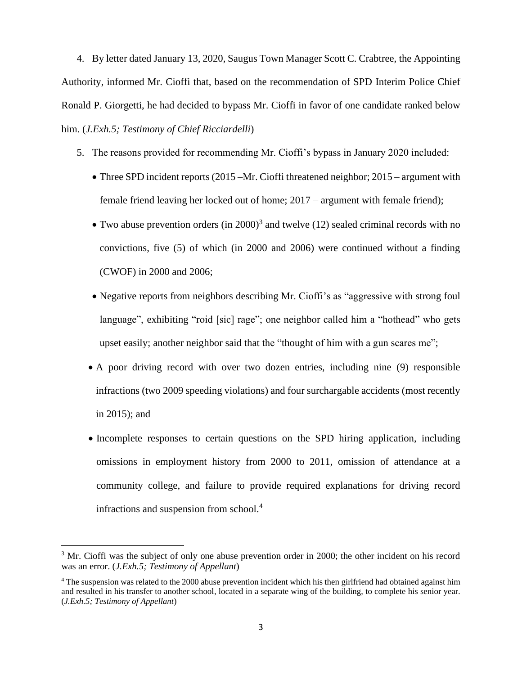4. By letter dated January 13, 2020, Saugus Town Manager Scott C. Crabtree, the Appointing Authority, informed Mr. Cioffi that, based on the recommendation of SPD Interim Police Chief Ronald P. Giorgetti, he had decided to bypass Mr. Cioffi in favor of one candidate ranked below him. (*J.Exh.5; Testimony of Chief Ricciardelli*)

- 5. The reasons provided for recommending Mr. Cioffi's bypass in January 2020 included:
	- Three SPD incident reports (2015 Mr. Cioffi threatened neighbor; 2015 argument with female friend leaving her locked out of home; 2017 – argument with female friend);
	- Two abuse prevention orders (in 2000)<sup>3</sup> and twelve (12) sealed criminal records with no convictions, five (5) of which (in 2000 and 2006) were continued without a finding (CWOF) in 2000 and 2006;
	- Negative reports from neighbors describing Mr. Cioffi's as "aggressive with strong foul language", exhibiting "roid [sic] rage"; one neighbor called him a "hothead" who gets upset easily; another neighbor said that the "thought of him with a gun scares me";
	- A poor driving record with over two dozen entries, including nine (9) responsible infractions (two 2009 speeding violations) and four surchargable accidents (most recently in 2015); and
	- Incomplete responses to certain questions on the SPD hiring application, including omissions in employment history from 2000 to 2011, omission of attendance at a community college, and failure to provide required explanations for driving record infractions and suspension from school. 4

<sup>&</sup>lt;sup>3</sup> Mr. Cioffi was the subject of only one abuse prevention order in 2000; the other incident on his record was an error. (*J.Exh.5; Testimony of Appellant*)

<sup>4</sup> The suspension was related to the 2000 abuse prevention incident which his then girlfriend had obtained against him and resulted in his transfer to another school, located in a separate wing of the building, to complete his senior year. (*J.Exh.5; Testimony of Appellant*)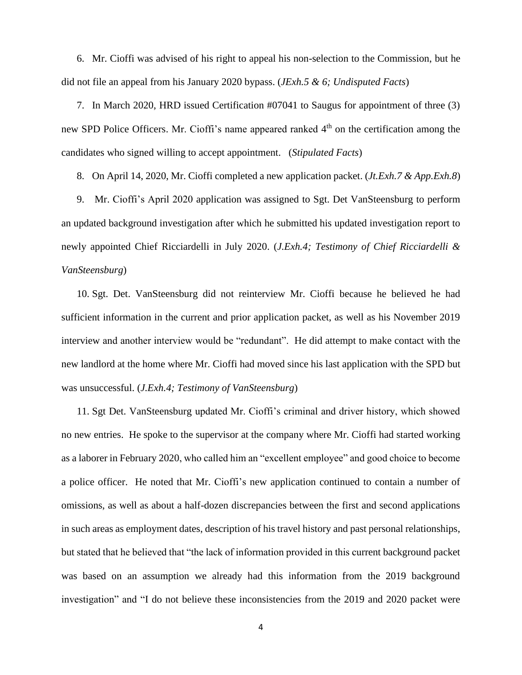6. Mr. Cioffi was advised of his right to appeal his non-selection to the Commission, but he did not file an appeal from his January 2020 bypass. (*JExh.5 & 6; Undisputed Facts*)

7. In March 2020, HRD issued Certification #07041 to Saugus for appointment of three (3) new SPD Police Officers. Mr. Cioffi's name appeared ranked 4<sup>th</sup> on the certification among the candidates who signed willing to accept appointment. (*Stipulated Facts*)

8. On April 14, 2020, Mr. Cioffi completed a new application packet. (*Jt.Exh.7 & App.Exh.8*)

9. Mr. Cioffi's April 2020 application was assigned to Sgt. Det VanSteensburg to perform an updated background investigation after which he submitted his updated investigation report to newly appointed Chief Ricciardelli in July 2020. (*J.Exh.4; Testimony of Chief Ricciardelli & VanSteensburg*)

10. Sgt. Det. VanSteensburg did not reinterview Mr. Cioffi because he believed he had sufficient information in the current and prior application packet, as well as his November 2019 interview and another interview would be "redundant". He did attempt to make contact with the new landlord at the home where Mr. Cioffi had moved since his last application with the SPD but was unsuccessful. (*J.Exh.4; Testimony of VanSteensburg*)

11. Sgt Det. VanSteensburg updated Mr. Cioffi's criminal and driver history, which showed no new entries. He spoke to the supervisor at the company where Mr. Cioffi had started working as a laborer in February 2020, who called him an "excellent employee" and good choice to become a police officer. He noted that Mr. Cioffi's new application continued to contain a number of omissions, as well as about a half-dozen discrepancies between the first and second applications in such areas as employment dates, description of his travel history and past personal relationships, but stated that he believed that "the lack of information provided in this current background packet was based on an assumption we already had this information from the 2019 background investigation" and "I do not believe these inconsistencies from the 2019 and 2020 packet were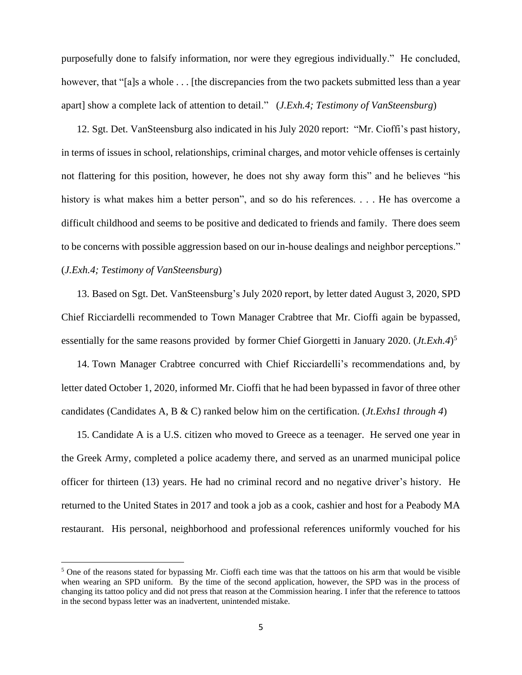purposefully done to falsify information, nor were they egregious individually." He concluded, however, that "[a]s a whole . . . [the discrepancies from the two packets submitted less than a year apart] show a complete lack of attention to detail." (*J.Exh.4; Testimony of VanSteensburg*)

12. Sgt. Det. VanSteensburg also indicated in his July 2020 report: "Mr. Cioffi's past history, in terms of issues in school, relationships, criminal charges, and motor vehicle offenses is certainly not flattering for this position, however, he does not shy away form this" and he believes "his history is what makes him a better person", and so do his references. . . . He has overcome a difficult childhood and seems to be positive and dedicated to friends and family. There does seem to be concerns with possible aggression based on our in-house dealings and neighbor perceptions." (*J.Exh.4; Testimony of VanSteensburg*)

13. Based on Sgt. Det. VanSteensburg's July 2020 report, by letter dated August 3, 2020, SPD Chief Ricciardelli recommended to Town Manager Crabtree that Mr. Cioffi again be bypassed, essentially for the same reasons provided by former Chief Giorgetti in January 2020. (*Jt.Exh.4*) 5

14. Town Manager Crabtree concurred with Chief Ricciardelli's recommendations and, by letter dated October 1, 2020, informed Mr. Cioffi that he had been bypassed in favor of three other candidates (Candidates A, B & C) ranked below him on the certification. (*Jt.Exhs1 through 4*)

15. Candidate A is a U.S. citizen who moved to Greece as a teenager. He served one year in the Greek Army, completed a police academy there, and served as an unarmed municipal police officer for thirteen (13) years. He had no criminal record and no negative driver's history. He returned to the United States in 2017 and took a job as a cook, cashier and host for a Peabody MA restaurant. His personal, neighborhood and professional references uniformly vouched for his

 $<sup>5</sup>$  One of the reasons stated for bypassing Mr. Cioffi each time was that the tattoos on his arm that would be visible</sup> when wearing an SPD uniform. By the time of the second application, however, the SPD was in the process of changing its tattoo policy and did not press that reason at the Commission hearing. I infer that the reference to tattoos in the second bypass letter was an inadvertent, unintended mistake.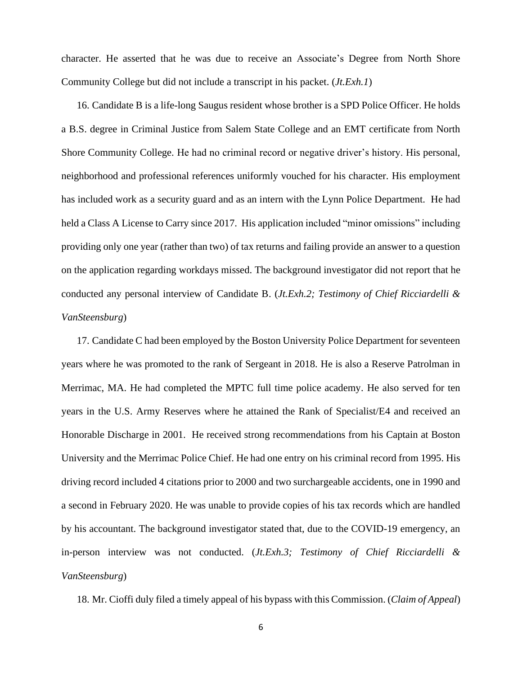character. He asserted that he was due to receive an Associate's Degree from North Shore Community College but did not include a transcript in his packet. (*Jt.Exh.1*)

16. Candidate B is a life-long Saugus resident whose brother is a SPD Police Officer. He holds a B.S. degree in Criminal Justice from Salem State College and an EMT certificate from North Shore Community College. He had no criminal record or negative driver's history. His personal, neighborhood and professional references uniformly vouched for his character. His employment has included work as a security guard and as an intern with the Lynn Police Department. He had held a Class A License to Carry since 2017. His application included "minor omissions" including providing only one year (rather than two) of tax returns and failing provide an answer to a question on the application regarding workdays missed. The background investigator did not report that he conducted any personal interview of Candidate B. (*Jt.Exh.2; Testimony of Chief Ricciardelli & VanSteensburg*)

17. Candidate C had been employed by the Boston University Police Department for seventeen years where he was promoted to the rank of Sergeant in 2018. He is also a Reserve Patrolman in Merrimac, MA. He had completed the MPTC full time police academy. He also served for ten years in the U.S. Army Reserves where he attained the Rank of Specialist/E4 and received an Honorable Discharge in 2001. He received strong recommendations from his Captain at Boston University and the Merrimac Police Chief. He had one entry on his criminal record from 1995. His driving record included 4 citations prior to 2000 and two surchargeable accidents, one in 1990 and a second in February 2020. He was unable to provide copies of his tax records which are handled by his accountant. The background investigator stated that, due to the COVID-19 emergency, an in-person interview was not conducted. (*Jt.Exh.3; Testimony of Chief Ricciardelli & VanSteensburg*)

18. Mr. Cioffi duly filed a timely appeal of his bypass with this Commission. (*Claim of Appeal*)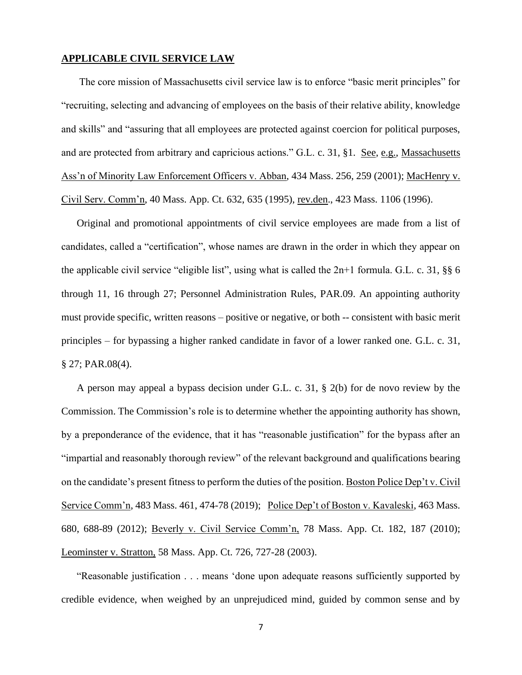## **APPLICABLE CIVIL SERVICE LAW**

 The core mission of Massachusetts civil service law is to enforce "basic merit principles" for "recruiting, selecting and advancing of employees on the basis of their relative ability, knowledge and skills" and "assuring that all employees are protected against coercion for political purposes, and are protected from arbitrary and capricious actions." G.L. c. 31, §1. See, e.g., Massachusetts Ass'n of Minority Law Enforcement Officers v. Abban, 434 Mass. 256, 259 (2001); MacHenry v. Civil Serv. Comm'n, 40 Mass. App. Ct. 632, 635 (1995), rev.den., 423 Mass. 1106 (1996).

Original and promotional appointments of civil service employees are made from a list of candidates, called a "certification", whose names are drawn in the order in which they appear on the applicable civil service "eligible list", using what is called the 2n+1 formula. G.L. c. 31, §§ 6 through 11, 16 through 27; Personnel Administration Rules, PAR.09. An appointing authority must provide specific, written reasons – positive or negative, or both -- consistent with basic merit principles – for bypassing a higher ranked candidate in favor of a lower ranked one. G.L. c. 31, § 27; PAR.08(4).

A person may appeal a bypass decision under G.L. c. 31, § 2(b) for de novo review by the Commission. The Commission's role is to determine whether the appointing authority has shown, by a preponderance of the evidence, that it has "reasonable justification" for the bypass after an "impartial and reasonably thorough review" of the relevant background and qualifications bearing on the candidate's present fitness to perform the duties of the position. Boston Police Dep't v. Civil Service Comm'n, 483 Mass. 461, 474-78 (2019); Police Dep't of Boston v. Kavaleski, 463 Mass. 680, 688-89 (2012); Beverly v. Civil Service Comm'n, 78 Mass. App. Ct. 182, 187 (2010); Leominster v. Stratton, 58 Mass. App. Ct. 726, 727-28 (2003).

"Reasonable justification . . . means 'done upon adequate reasons sufficiently supported by credible evidence, when weighed by an unprejudiced mind, guided by common sense and by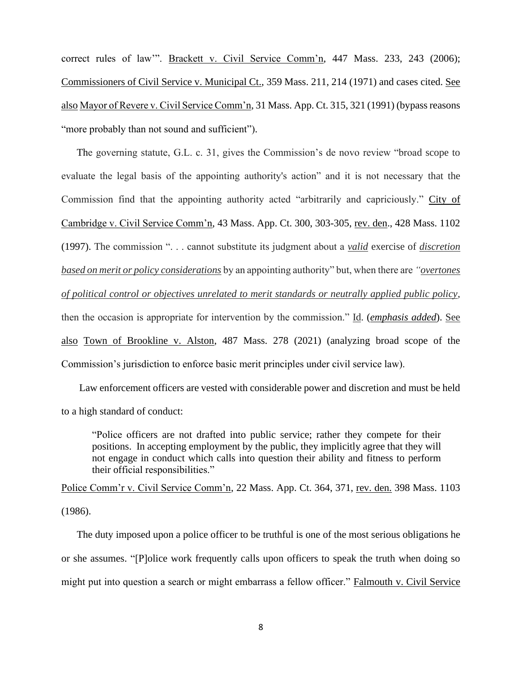correct rules of law'". Brackett v. Civil Service Comm'n, 447 Mass. 233, 243 (2006); Commissioners of Civil Service v. Municipal Ct., 359 Mass. 211, 214 (1971) and cases cited. See also Mayor of Revere v. Civil Service Comm'n, 31 Mass. App. Ct. 315, 321 (1991) (bypass reasons "more probably than not sound and sufficient").

The governing statute, G.L. c. 31, gives the Commission's de novo review "broad scope to evaluate the legal basis of the appointing authority's action" and it is not necessary that the Commission find that the appointing authority acted "arbitrarily and capriciously." City of Cambridge v. Civil Service Comm'n, 43 Mass. App. Ct. 300, 303-305, rev. den., 428 Mass. 1102 (1997). The commission ". . . cannot substitute its judgment about a *valid* exercise of *discretion based on merit or policy considerations* by an appointing authority" but, when there are *"overtones of political control or objectives unrelated to merit standards or neutrally applied public policy*, then the occasion is appropriate for intervention by the commission." Id. (*emphasis added*). See also Town of Brookline v. Alston, 487 Mass. 278 (2021) (analyzing broad scope of the Commission's jurisdiction to enforce basic merit principles under civil service law).

 Law enforcement officers are vested with considerable power and discretion and must be held to a high standard of conduct:

"Police officers are not drafted into public service; rather they compete for their positions. In accepting employment by the public, they implicitly agree that they will not engage in conduct which calls into question their ability and fitness to perform their official responsibilities."

Police Comm'r v. Civil Service Comm'n, 22 Mass. App. Ct. 364, 371, rev. den. 398 Mass. 1103 (1986).

The duty imposed upon a police officer to be truthful is one of the most serious obligations he or she assumes. "[P]olice work frequently calls upon officers to speak the truth when doing so might put into question a search or might embarrass a fellow officer." Falmouth v. Civil Service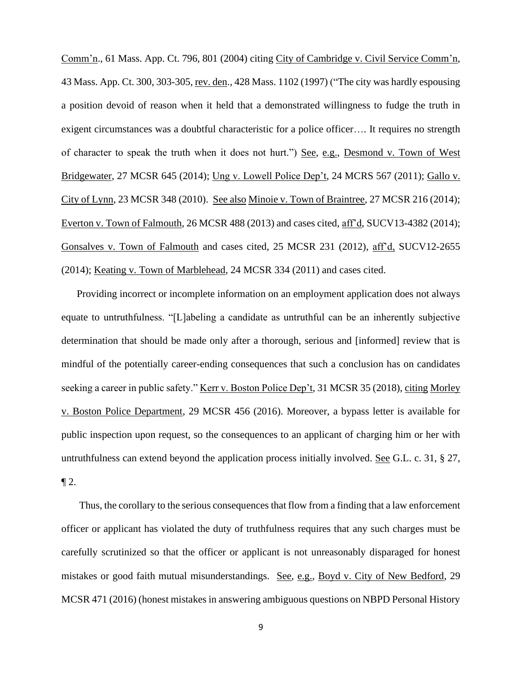Comm'n., 61 Mass. App. Ct. 796, 801 (2004) citing City of Cambridge v. Civil Service Comm'n, 43 Mass. App. Ct. 300, 303-305, rev. den., 428 Mass. 1102 (1997) ("The city was hardly espousing a position devoid of reason when it held that a demonstrated willingness to fudge the truth in exigent circumstances was a doubtful characteristic for a police officer…. It requires no strength of character to speak the truth when it does not hurt.") See, e.g., Desmond v. Town of West Bridgewater, 27 MCSR 645 (2014); Ung v. Lowell Police Dep't, 24 MCRS 567 (2011); Gallo v. City of Lynn, 23 MCSR 348 (2010). See also Minoie v. Town of Braintree, 27 MCSR 216 (2014); Everton v. Town of Falmouth, 26 MCSR 488 (2013) and cases cited, aff'd, SUCV13-4382 (2014); Gonsalves v. Town of Falmouth and cases cited, 25 MCSR 231 (2012), aff'd, SUCV12-2655 (2014); Keating v. Town of Marblehead, 24 MCSR 334 (2011) and cases cited.

Providing incorrect or incomplete information on an employment application does not always equate to untruthfulness. "[L]abeling a candidate as untruthful can be an inherently subjective determination that should be made only after a thorough, serious and [informed] review that is mindful of the potentially career-ending consequences that such a conclusion has on candidates seeking a career in public safety." <u>Kerr v. Boston Police Dep't</u>, 31 MCSR 35 (2018), citing Morley v. Boston Police Department, 29 MCSR 456 (2016). Moreover, a bypass letter is available for public inspection upon request, so the consequences to an applicant of charging him or her with untruthfulness can extend beyond the application process initially involved. See G.L. c. 31, § 27,  $\P 2$ .

 Thus, the corollary to the serious consequences that flow from a finding that a law enforcement officer or applicant has violated the duty of truthfulness requires that any such charges must be carefully scrutinized so that the officer or applicant is not unreasonably disparaged for honest mistakes or good faith mutual misunderstandings. See, e.g., Boyd v. City of New Bedford, 29 MCSR 471 (2016) (honest mistakes in answering ambiguous questions on NBPD Personal History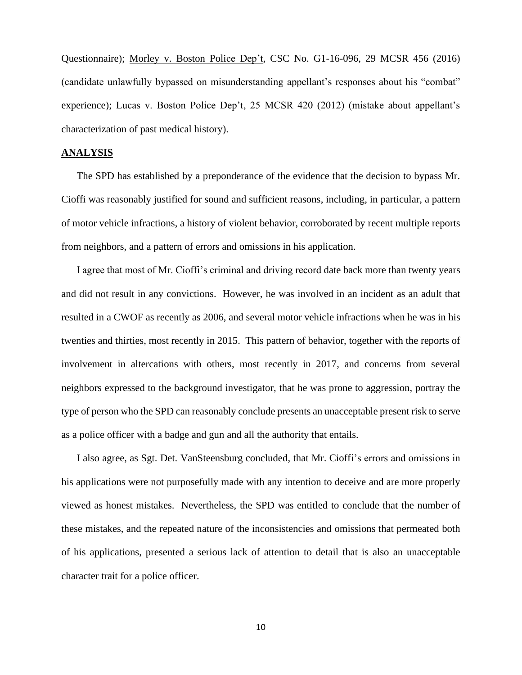Questionnaire); Morley v. Boston Police Dep't, CSC No. G1-16-096, 29 MCSR 456 (2016) (candidate unlawfully bypassed on misunderstanding appellant's responses about his "combat" experience); Lucas v. Boston Police Dep't, 25 MCSR 420 (2012) (mistake about appellant's characterization of past medical history).

## **ANALYSIS**

The SPD has established by a preponderance of the evidence that the decision to bypass Mr. Cioffi was reasonably justified for sound and sufficient reasons, including, in particular, a pattern of motor vehicle infractions, a history of violent behavior, corroborated by recent multiple reports from neighbors, and a pattern of errors and omissions in his application.

I agree that most of Mr. Cioffi's criminal and driving record date back more than twenty years and did not result in any convictions. However, he was involved in an incident as an adult that resulted in a CWOF as recently as 2006, and several motor vehicle infractions when he was in his twenties and thirties, most recently in 2015. This pattern of behavior, together with the reports of involvement in altercations with others, most recently in 2017, and concerns from several neighbors expressed to the background investigator, that he was prone to aggression, portray the type of person who the SPD can reasonably conclude presents an unacceptable present risk to serve as a police officer with a badge and gun and all the authority that entails.

I also agree, as Sgt. Det. VanSteensburg concluded, that Mr. Cioffi's errors and omissions in his applications were not purposefully made with any intention to deceive and are more properly viewed as honest mistakes. Nevertheless, the SPD was entitled to conclude that the number of these mistakes, and the repeated nature of the inconsistencies and omissions that permeated both of his applications, presented a serious lack of attention to detail that is also an unacceptable character trait for a police officer.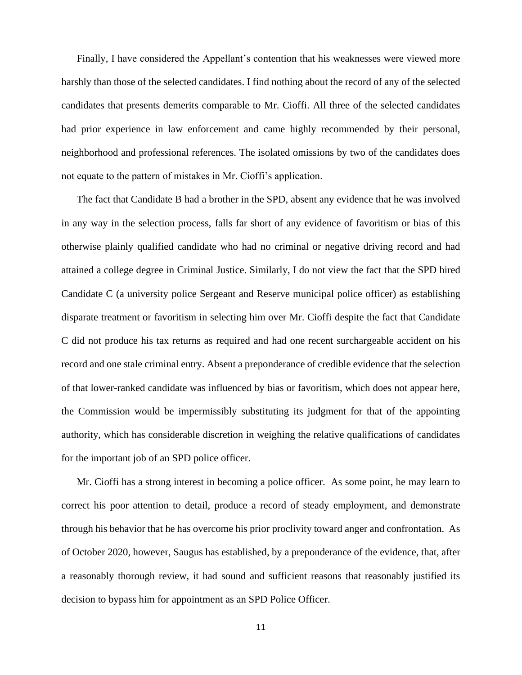Finally, I have considered the Appellant's contention that his weaknesses were viewed more harshly than those of the selected candidates. I find nothing about the record of any of the selected candidates that presents demerits comparable to Mr. Cioffi. All three of the selected candidates had prior experience in law enforcement and came highly recommended by their personal, neighborhood and professional references. The isolated omissions by two of the candidates does not equate to the pattern of mistakes in Mr. Cioffi's application.

The fact that Candidate B had a brother in the SPD, absent any evidence that he was involved in any way in the selection process, falls far short of any evidence of favoritism or bias of this otherwise plainly qualified candidate who had no criminal or negative driving record and had attained a college degree in Criminal Justice. Similarly, I do not view the fact that the SPD hired Candidate C (a university police Sergeant and Reserve municipal police officer) as establishing disparate treatment or favoritism in selecting him over Mr. Cioffi despite the fact that Candidate C did not produce his tax returns as required and had one recent surchargeable accident on his record and one stale criminal entry. Absent a preponderance of credible evidence that the selection of that lower-ranked candidate was influenced by bias or favoritism, which does not appear here, the Commission would be impermissibly substituting its judgment for that of the appointing authority, which has considerable discretion in weighing the relative qualifications of candidates for the important job of an SPD police officer.

Mr. Cioffi has a strong interest in becoming a police officer. As some point, he may learn to correct his poor attention to detail, produce a record of steady employment, and demonstrate through his behavior that he has overcome his prior proclivity toward anger and confrontation. As of October 2020, however, Saugus has established, by a preponderance of the evidence, that, after a reasonably thorough review, it had sound and sufficient reasons that reasonably justified its decision to bypass him for appointment as an SPD Police Officer.